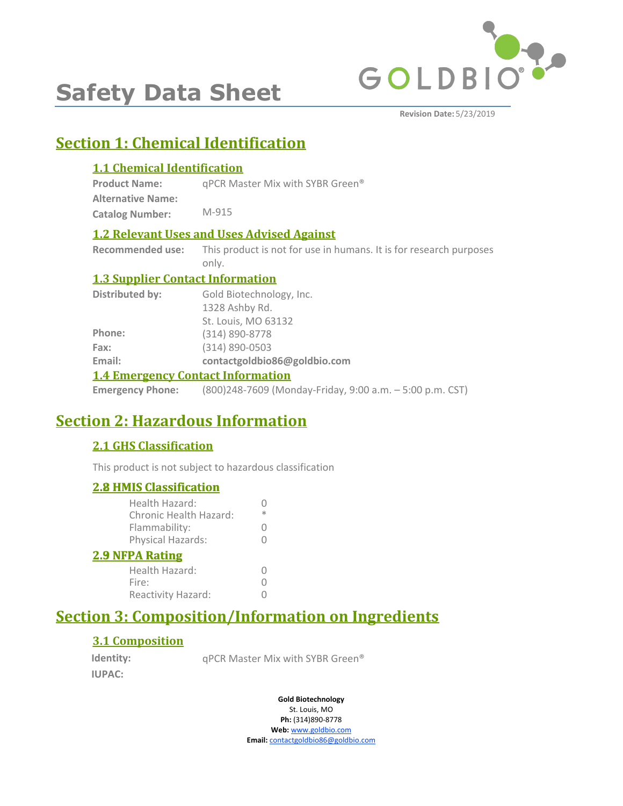

# **Safety Data Sheet**

**Revision Date:** 5/23/2019

# **Section 1: Chemical Identification**

### **1.1 Chemical Identification**

**Product Name:** qPCR Master Mix with SYBR Green®

**Alternative Name: Catalog Number:** M-915

### **1.2 Relevant Uses and Uses Advised Against**

**Recommended use:** This product is not for use in humans. It is for research purposes only.

### **1.3 Supplier Contact Information**

| <b>Distributed by:</b>                   | Gold Biotechnology, Inc.     |  |
|------------------------------------------|------------------------------|--|
|                                          | 1328 Ashby Rd.               |  |
|                                          | St. Louis, MO 63132          |  |
| Phone:                                   | (314) 890-8778               |  |
| Fax:                                     | (314) 890-0503               |  |
| Email:                                   | contactgoldbio86@goldbio.com |  |
| <b>1.4 Emergency Contact Information</b> |                              |  |

**Emergency Phone:** (800)248-7609 (Monday-Friday, 9:00 a.m. – 5:00 p.m. CST)

# **Section 2: Hazardous Information**

### **2.1 GHS Classification**

This product is not subject to hazardous classification

### **2.8 HMIS Classification**

| <b>2.8 HMIS Classification</b>           |   |
|------------------------------------------|---|
| Health Hazard:<br>Chronic Health Hazard: | ж |
| Flammability:                            |   |
| Physical Hazards:                        |   |
| <b>2.9 NFPA Rating</b>                   |   |
| Health Hazard:                           |   |
| Fire:                                    |   |
| Reactivity Hazard:                       |   |
|                                          |   |

# **Section 3: Composition/Information on Ingredients**

### **3.1 Composition**

**Identity: IUPAC:**

qPCR Master Mix with SYBR Green®

**Gold Biotechnology** St. Louis, MO

**Ph:** (314)890-8778 **Web:** www.goldbio.com **Email:** contactgoldbio86@goldbio.com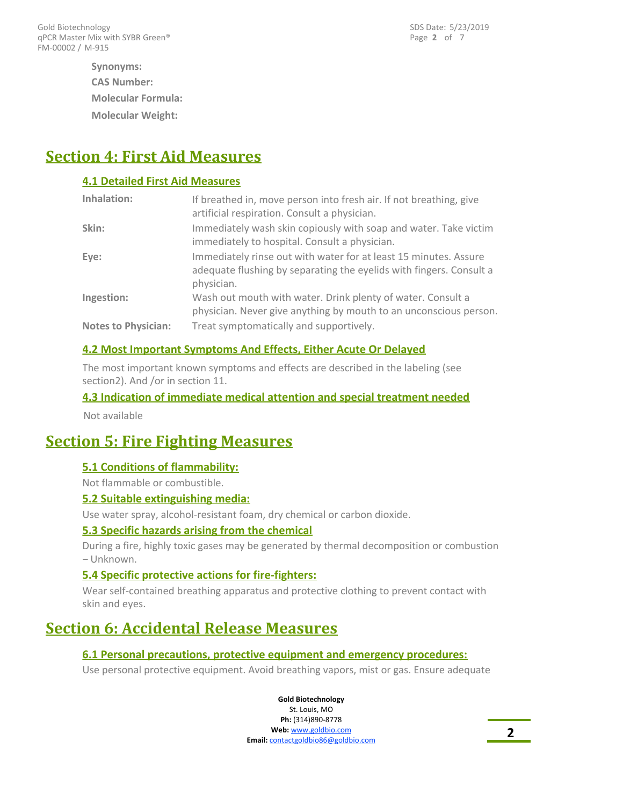**Molecular Weight: Synonyms: CAS Number: Molecular Formula:**

# **Section 4: First Aid Measures**

### **4.1 Detailed First Aid Measures**

| Inhalation:                | If breathed in, move person into fresh air. If not breathing, give<br>artificial respiration. Consult a physician.                                    |
|----------------------------|-------------------------------------------------------------------------------------------------------------------------------------------------------|
| Skin:                      | Immediately wash skin copiously with soap and water. Take victim<br>immediately to hospital. Consult a physician.                                     |
| Eye:                       | Immediately rinse out with water for at least 15 minutes. Assure<br>adequate flushing by separating the eyelids with fingers. Consult a<br>physician. |
| Ingestion:                 | Wash out mouth with water. Drink plenty of water. Consult a<br>physician. Never give anything by mouth to an unconscious person.                      |
| <b>Notes to Physician:</b> | Treat symptomatically and supportively.                                                                                                               |

### **4.2 Most Important Symptoms And Effects, Either Acute Or Delayed**

The most important known symptoms and effects are described in the labeling (see section2). And /or in section 11.

### **4.3 Indication of immediate medical attention and special treatment needed**

Not available

## **Section 5: Fire Fighting Measures**

### **5.1 Conditions of flammability:**

Not flammable or combustible.

### **5.2 Suitable extinguishing media:**

Use water spray, alcohol-resistant foam, dry chemical or carbon dioxide.

### **5.3 Specific hazards arising from the chemical**

During a fire, highly toxic gases may be generated by thermal decomposition or combustion – Unknown.

### **5.4 Specific protective actions for fire-fighters:**

Wear self-contained breathing apparatus and protective clothing to prevent contact with skin and eyes.

# **Section 6: Accidental Release Measures**

### **6.1 Personal precautions, protective equipment and emergency procedures:**

Use personal protective equipment. Avoid breathing vapors, mist or gas. Ensure adequate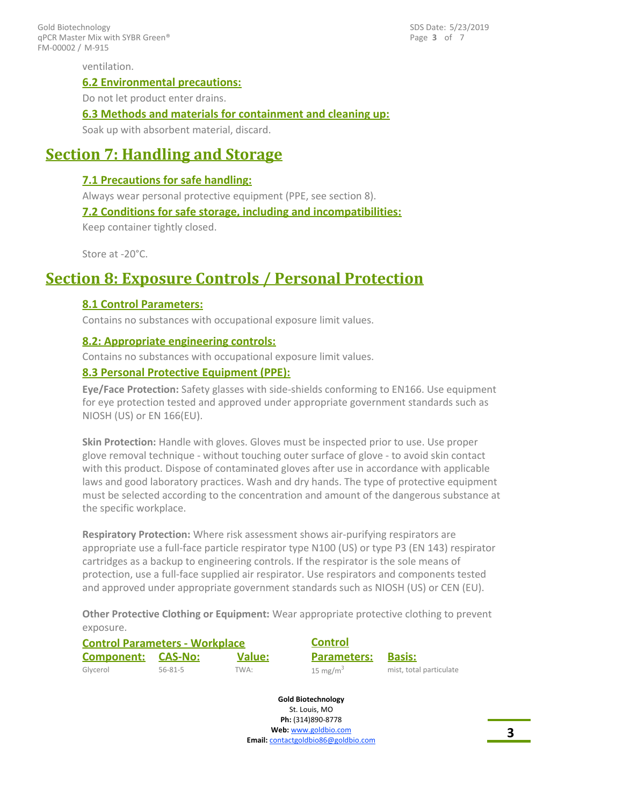FM-00002 / M-915 Gold Biotechnology qPCR Master Mix with SYBR Green® Page **3** of 7 SDS Date: 5/23/2019

ventilation.

#### **6.2 Environmental precautions:**

Do not let product enter drains.

#### **6.3 Methods and materials for containment and cleaning up:**

Soak up with absorbent material, discard.

### **Section 7: Handling and Storage**

### **7.1 Precautions for safe handling:**

Always wear personal protective equipment (PPE, see section 8).

### **7.2 Conditions for safe storage, including and incompatibilities:**

Keep container tightly closed.

Store at -20°C.

### **Section 8: Exposure Controls / Personal Protection**

### **8.1 Control Parameters:**

Contains no substances with occupational exposure limit values.

### **8.2: Appropriate engineering controls:**

Contains no substances with occupational exposure limit values.

### **8.3 Personal Protective Equipment (PPE):**

**Eye/Face Protection:** Safety glasses with side-shields conforming to EN166. Use equipment for eye protection tested and approved under appropriate government standards such as NIOSH (US) or EN 166(EU).

**Skin Protection:** Handle with gloves. Gloves must be inspected prior to use. Use proper glove removal technique - without touching outer surface of glove - to avoid skin contact with this product. Dispose of contaminated gloves after use in accordance with applicable laws and good laboratory practices. Wash and dry hands. The type of protective equipment must be selected according to the concentration and amount of the dangerous substance at the specific workplace.

**Respiratory Protection:** Where risk assessment shows air-purifying respirators are appropriate use a full-face particle respirator type N100 (US) or type P3 (EN 143) respirator cartridges as a backup to engineering controls. If the respirator is the sole means of protection, use a full-face supplied air respirator. Use respirators and components tested and approved under appropriate government standards such as NIOSH (US) or CEN (EU).

**Other Protective Clothing or Equipment:** Wear appropriate protective clothing to prevent exposure.

| <b>Control Parameters - Workplace</b> |               |               | <b>Control</b>       |                         |
|---------------------------------------|---------------|---------------|----------------------|-------------------------|
| <b>Component: CAS-No:</b>             |               | <b>Value:</b> | <b>Parameters:</b>   | <b>Basis:</b>           |
| Glycerol                              | $56 - 81 - 5$ | TWA:          | 15 mg/m <sup>3</sup> | mist, total particulate |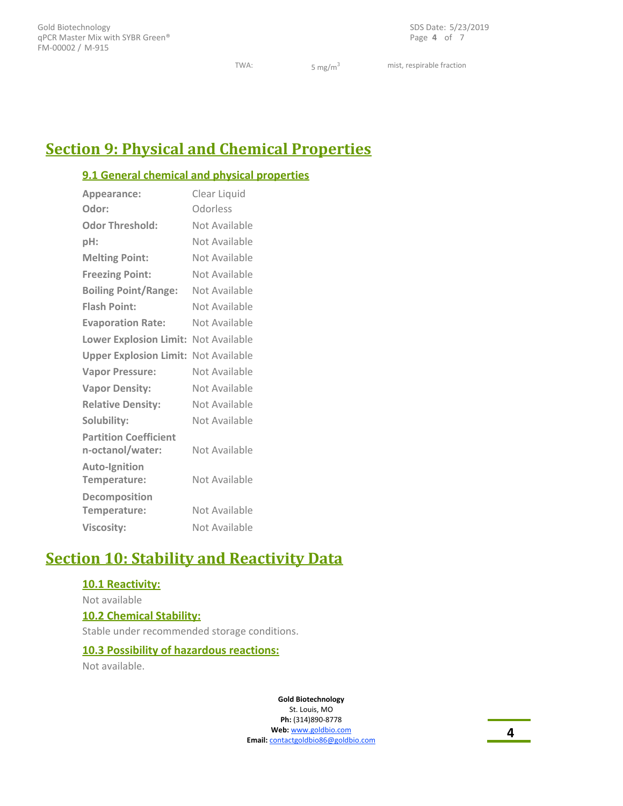Page **4** of 7 SDS Date: 5/23/2019

TWA:  $5 \text{ mg/m}^3$  mist, respirable fraction

# **Section 9: Physical and Chemical Properties**

### **9.1 General chemical and physical properties**

| Appearance:                                      | Clear Liquid  |
|--------------------------------------------------|---------------|
| Odor:                                            | Odorless      |
| <b>Odor Threshold:</b>                           | Not Available |
| pH:                                              | Not Available |
| <b>Melting Point:</b>                            | Not Available |
| <b>Freezing Point:</b>                           | Not Available |
| <b>Boiling Point/Range:</b>                      | Not Available |
| <b>Flash Point:</b>                              | Not Available |
| <b>Evaporation Rate:</b>                         | Not Available |
| Lower Explosion Limit: Not Available             |               |
| <b>Upper Explosion Limit: Not Available</b>      |               |
| <b>Vapor Pressure:</b>                           | Not Available |
| <b>Vapor Density:</b>                            | Not Available |
| <b>Relative Density:</b>                         | Not Available |
| Solubility:                                      | Not Available |
| <b>Partition Coefficient</b><br>n-octanol/water: | Not Available |
| <b>Auto-Ignition</b><br>Temperature:             | Not Available |
| Decomposition<br>Temperature:                    | Not Available |
| <b>Viscosity:</b>                                | Not Available |

# **Section 10: Stability and Reactivity Data**

### **10.1 Reactivity:**

Not available **10.2 Chemical Stability:** Stable under recommended storage conditions.

### **10.3 Possibility of hazardous reactions:**

Not available.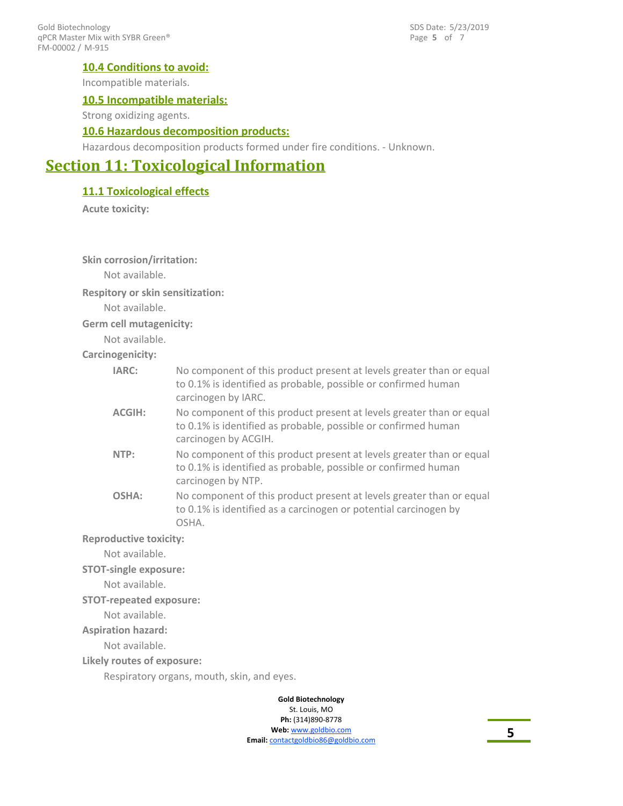FM-00002 / M-915 Gold Biotechnology qPCR Master Mix with SYBR Green® Page **5** of 7 SDS Date: 5/23/2019

### **10.4 Conditions to avoid:**

Incompatible materials.

### **10.5 Incompatible materials:**

Strong oxidizing agents.

### **10.6 Hazardous decomposition products:**

Hazardous decomposition products formed under fire conditions. - Unknown.

### **Section 11: Toxicological Information**

### **11.1 Toxicological effects**

**Acute toxicity:**

### **Skin corrosion/irritation:**

Not available.

#### **Respitory or skin sensitization:**

Not available.

**Germ cell mutagenicity:**

Not available.

#### **Carcinogenicity:**

| IARC:                         | No component of this product present at levels greater than or equal<br>to 0.1% is identified as probable, possible or confirmed human<br>carcinogen by IARC.  |
|-------------------------------|----------------------------------------------------------------------------------------------------------------------------------------------------------------|
| <b>ACGIH:</b>                 | No component of this product present at levels greater than or equal<br>to 0.1% is identified as probable, possible or confirmed human<br>carcinogen by ACGIH. |
| NTP:                          | No component of this product present at levels greater than or equal<br>to 0.1% is identified as probable, possible or confirmed human<br>carcinogen by NTP.   |
| OSHA:                         | No component of this product present at levels greater than or equal<br>to 0.1% is identified as a carcinogen or potential carcinogen by<br>OSHA.              |
| <b>Reproductive toxicity:</b> |                                                                                                                                                                |

Not available.

**STOT-single exposure:**

Not available.

#### **STOT-repeated exposure:**

Not available.

#### **Aspiration hazard:**

Not available.

#### **Likely routes of exposure:**

Respiratory organs, mouth, skin, and eyes.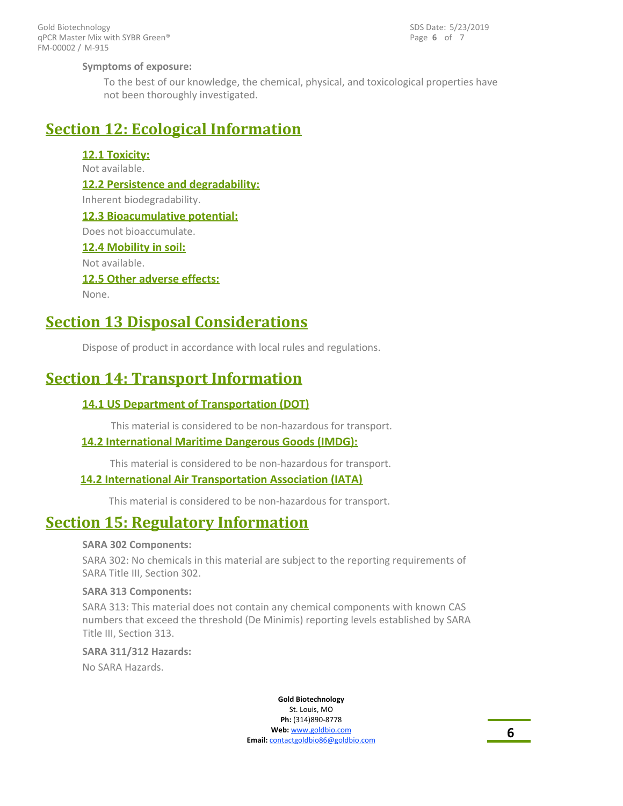FM-00002 / M-915 Gold Biotechnology qPCR Master Mix with SYBR Green® Page **6** of 7 SDS Date: 5/23/2019

### **Symptoms of exposure:**

To the best of our knowledge, the chemical, physical, and toxicological properties have not been thoroughly investigated.

### **Section 12: Ecological Information**

### **12.1 Toxicity:**

Not available.

**12.2 Persistence and degradability:** Inherent biodegradability. **12.3 Bioacumulative potential:** Does not bioaccumulate. **12.4 Mobility in soil:** Not available. **12.5 Other adverse effects:** None.

# **Section 13 Disposal Considerations**

Dispose of product in accordance with local rules and regulations.

# **Section 14: Transport Information**

### **14.1 US Department of Transportation (DOT)**

This material is considered to be non-hazardous for transport.

### **14.2 International Maritime Dangerous Goods (IMDG):**

This material is considered to be non-hazardous for transport.

### **14.2 International Air Transportation Association (IATA)**

This material is considered to be non-hazardous for transport.

## **Section 15: Regulatory Information**

### **SARA 302 Components:**

SARA 302: No chemicals in this material are subject to the reporting requirements of SARA Title III, Section 302.

### **SARA 313 Components:**

SARA 313: This material does not contain any chemical components with known CAS numbers that exceed the threshold (De Minimis) reporting levels established by SARA Title III, Section 313.

### **SARA 311/312 Hazards:**

No SARA Hazards.